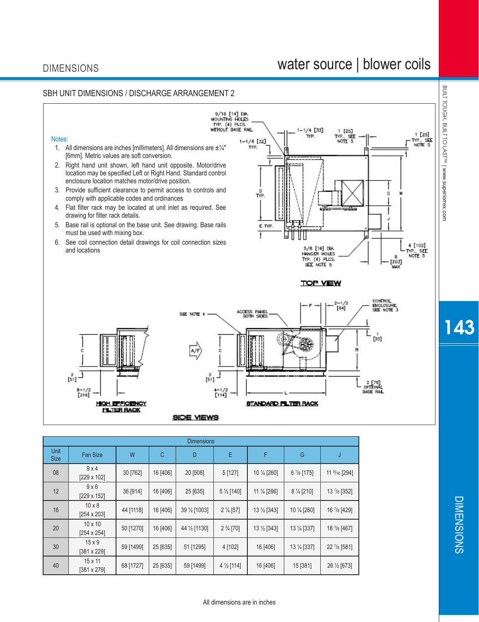# water source | blower coils

DIMENSIONS

**DIMENSIONS** 



| Unit<br><b>Size</b> | <b>Fan Size</b>                      | W         | С        | D             | E                     | F                      | G                    | J                        |
|---------------------|--------------------------------------|-----------|----------|---------------|-----------------------|------------------------|----------------------|--------------------------|
| 08                  | 9x4<br>[229 x 102]                   | 30 [762]  | 16 [406] | 20 [508]      | 5 [127]               | 10 1/4 [260]           | $6\frac{7}{8}$ [175] | 11 $\frac{9}{16}$ [294]  |
| 12                  | 9x6<br>$[229 \times 152]$            | 36 [914]  | 16 [406] | 25 [635]      | 5 $\frac{1}{2}$ [140] | 11 $\frac{1}{4}$ [286] | 8 % [210]            | $13$ $\frac{7}{8}$ [352] |
| 16                  | $10 \times 8$<br>$[254 \times 203]$  | 44 [1118] | 16 [406] | 39 1/2 [1003] | $2\frac{1}{4}$ [57]   | $13\frac{1}{2}$ [343]  | 10 1/4 [260]         | 16 7/8 [429]             |
| 20                  | $10 \times 10$<br>$[254 \times 254]$ | 50 [1270] | 16 [406] | 44 1/2 [1130] | $2\frac{3}{4}$ [70]   | $13\frac{1}{2}$ [343]  | 13 % [337]           | 18 $3/8$ [467]           |
| 30                  | $15 \times 9$<br>$[381 \times 229]$  | 59 [1499] | 25 [635] | 51 [1295]     | 4 [102]               | 16 [406]               | 13 1/4 [337]         | $22\frac{7}{8}$ [581]    |
| 40                  | $15 \times 11$<br>$[381 \times 279]$ | 68 [1727] | 25 [635] | 59 [1499]     | $4\frac{1}{2}$ [114]  | 16 [406]               | 15 [381]             | 26 1/2 [673]             |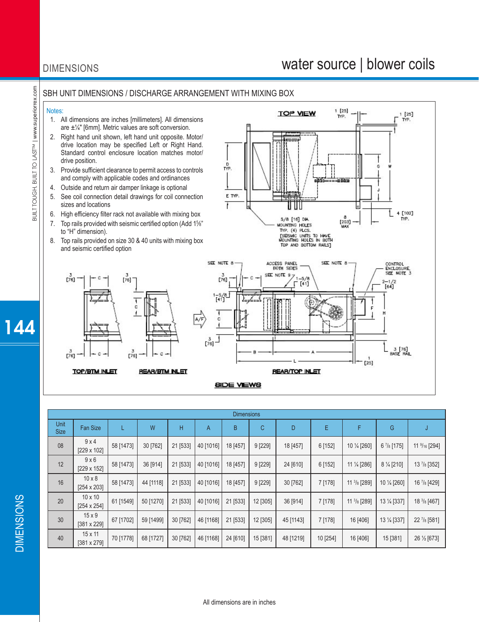## DIMENSIONS

## water source | blower coils

 $[25]$ 

1 [25]<br>TYP.

### SBH UNIT DIMENSIONS / DISCHARGE ARRANGEMENT WITH MIXING BOX

#### Notes:

- 1. All dimensions are inches [millimeters]. All dimensions are ±¼" [6mm]. Metric values are soft conversion.
- 2. Right hand unit shown, left hand unit opposite. Motor/ drive location may be specified Left or Right Hand. Standard control enclosure location matches motor/ drive position.
- 3. Provide sufficient clearance to permit access to controls and comply with applicable codes and ordinances
- 4. Outside and return air damper linkage is optional
- 5. See coil connection detail drawings for coil connection sizes and locations
- 6. High efficiency filter rack not available with mixing box
- 7. Top rails provided with seismic certified option (Add 1%" to "H" dimension).
- 8. Top rails provided on size 30 & 40 units with mixing box and seismic certified option



**REAR/BTM NLET** 

**TOP/BTM INLET** 



**TOP VIEW** 

#### **BIDE VIEWS**

| <b>Dimensions</b>   |                               |           |           |          |           |          |          |           |          |                          |                      |                          |
|---------------------|-------------------------------|-----------|-----------|----------|-----------|----------|----------|-----------|----------|--------------------------|----------------------|--------------------------|
| Unit<br><b>Size</b> | <b>Fan Size</b>               |           | W         | H        | A         | B        | C        | D         | E        | F                        | G                    |                          |
| 08                  | 9x4<br>[229 x 102]            | 58 [1473] | 30 [762]  | 21 [533] | 40 [1016] | 18 [457] | 9 [229]  | 18 [457]  | 6 [152]  | 10 1/4 [260]             | $6\frac{7}{8}$ [175] | 11 $\frac{9}{16}$ [294]  |
| 12                  | $9 \times 6$<br>[229 x 152]   | 58 [1473] | 36 [914]  | 21 [533] | 40 [1016] | 18 [457] | 9 [229]  | 24 [610]  | 6 [152]  | 11 1/ <sub>4</sub> [286] | $8\frac{1}{4}$ [210] | $13$ $\frac{7}{8}$ [352] |
| 16                  | $10 \times 8$<br>[254 x 203]  | 58 [1473] | 44 [1118] | 21 [533] | 40 [1016] | 18 [457] | 9 [229]  | 30 [762]  | 7 [178]  | 11 $\frac{3}{8}$ [289]   | 10 1/4 [260]         | 16 $\frac{7}{8}$ [429]   |
| 20                  | $10 \times 10$<br>[254 x 254] | 61 [1549] | 50 [1270] | 21 [533] | 40 [1016] | 21 [533] | 12 [305] | 36 [914]  | 7 [178]  | $11 \frac{3}{8}$ [289]   | 13 1/4 [337]         | 18 3/8 [467]             |
| 30                  | $15 \times 9$<br>[381 x 229]  | 67 [1702] | 59 [1499] | 30 [762] | 46 [1168] | 21 [533] | 12 [305] | 45 [1143] | 7 [178]  | 16 [406]                 | 13 1/4 [337]         | 22 7/8 [581]             |
| 40                  | $15 \times 11$<br>[381 x 279] | 70 [1778] | 68 [1727] | 30 [762] | 46 [1168] | 24 [610] | 15 [381] | 48 [1219] | 10 [254] | 16 [406]                 | 15 [381]             | 26 1/2 [673]             |

144

# **DIMENSIONS** DIMENSIONS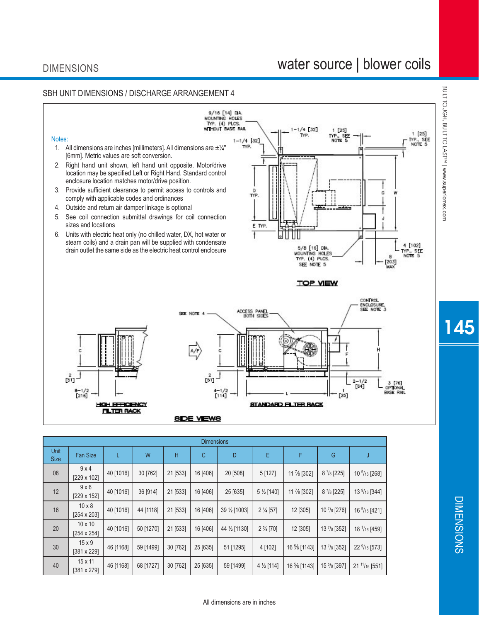40  $\begin{vmatrix} 15 \times 11 \\ 381 \times 279 \end{vmatrix}$ 

# water source | blower coils



16 % [1143] 15 5/8 [397]

21 11/16 [551]

 $\begin{array}{|c|c|c|c|c|c|c|c|c|}\hline (381 \times 279] & 46 & [1168] & 68 & [1727] & 30 & [762] & 25 & [635] & 59 & [1499] & 4 \times [114] & 16 \, \end{array}$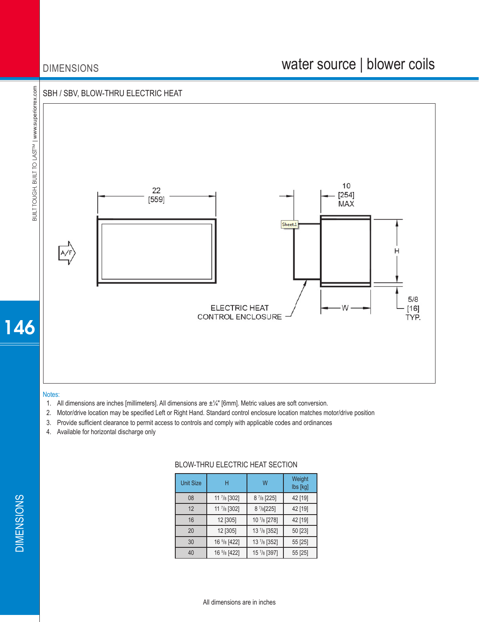## DIMENSIONS

# water source | blower coils



#### Notes:

- 1. All dimensions are inches [millimeters]. All dimensions are  $\pm\frac{1}{4}$ " [6mm]. Metric values are soft conversion.
- 2. Motor/drive location may be specified Left or Right Hand. Standard control enclosure location matches motor/drive position
- 3. Provide sufficient clearance to permit access to controls and comply with applicable codes and ordinances
- 4. Available for horizontal discharge only

### BLOW-THRU ELECTRIC HEAT SECTION

| <b>Unit Size</b> | н                      | W                    | Weight<br>lbs [kg] |  |
|------------------|------------------------|----------------------|--------------------|--|
| 08               | 11 7/8 [302]           | $8\frac{7}{8}$ [225] | 42 [19]            |  |
| 12               | 11 7/8 [302]           | 8 7/8 [225]          | 42 [19]            |  |
| 16               | 12 [305]               | 10 7/8 [278]         | 42 [19]            |  |
| 20               | 12 [305]               | 13 7/8 [352]         | 50 [23]            |  |
| 30               | 16 5/8 [422]           | 13 7/8 [352]         | 55 [25]            |  |
| 40               | 16 $\frac{5}{8}$ [422] | 15 7/8 [397]         | 55 [25]            |  |